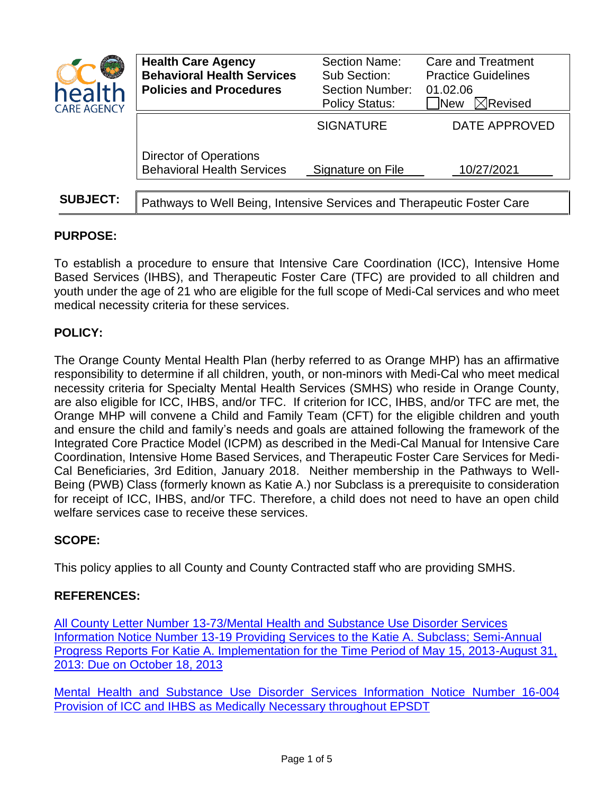| health<br><b>CARE AGENCY</b> | <b>Health Care Agency</b><br><b>Behavioral Health Services</b><br><b>Policies and Procedures</b> | Section Name:<br>Sub Section:<br><b>Section Number:</b><br><b>Policy Status:</b> | <b>Care and Treatment</b><br><b>Practice Guidelines</b><br>01.02.06<br>$\boxtimes$ Revised<br><b>New</b> |
|------------------------------|--------------------------------------------------------------------------------------------------|----------------------------------------------------------------------------------|----------------------------------------------------------------------------------------------------------|
|                              |                                                                                                  | <b>SIGNATURE</b>                                                                 | DATE APPROVED                                                                                            |
|                              | <b>Director of Operations</b><br><b>Behavioral Health Services</b>                               | Signature on File                                                                | 10/27/2021                                                                                               |
|                              |                                                                                                  |                                                                                  |                                                                                                          |
| <b>SUBJECT:</b>              | Pathways to Well Being, Intensive Services and Therapeutic Foster Care                           |                                                                                  |                                                                                                          |

# **PURPOSE:**

To establish a procedure to ensure that Intensive Care Coordination (ICC), Intensive Home Based Services (IHBS), and Therapeutic Foster Care (TFC) are provided to all children and youth under the age of 21 who are eligible for the full scope of Medi-Cal services and who meet medical necessity criteria for these services.

## **POLICY:**

The Orange County Mental Health Plan (herby referred to as Orange MHP) has an affirmative responsibility to determine if all children, youth, or non-minors with Medi-Cal who meet medical necessity criteria for Specialty Mental Health Services (SMHS) who reside in Orange County, are also eligible for ICC, IHBS, and/or TFC. If criterion for ICC, IHBS, and/or TFC are met, the Orange MHP will convene a Child and Family Team (CFT) for the eligible children and youth and ensure the child and family's needs and goals are attained following the framework of the Integrated Core Practice Model (ICPM) as described in the Medi-Cal Manual for Intensive Care Coordination, Intensive Home Based Services, and Therapeutic Foster Care Services for Medi-Cal Beneficiaries, 3rd Edition, January 2018. Neither membership in the Pathways to Well-Being (PWB) Class (formerly known as Katie A.) nor Subclass is a prerequisite to consideration for receipt of ICC, IHBS, and/or TFC. Therefore, a child does not need to have an open child welfare services case to receive these services.

### **SCOPE:**

This policy applies to all County and County Contracted staff who are providing SMHS.

### **REFERENCES:**

All County Letter Number [13-73/Mental Health and Substance Use Disorder Services](http://www.cdss.ca.gov/lettersnotices/EntRes/getinfo/acl/2013/13-73_13-19.pdf)  [Information Notice Number 13-19 Providing Services to the Katie A. Subclass; Semi-Annual](http://www.cdss.ca.gov/lettersnotices/EntRes/getinfo/acl/2013/13-73_13-19.pdf)  [Progress Reports For Katie A. Implementation for the Time Period of May 15, 2013-August 31,](http://www.cdss.ca.gov/lettersnotices/EntRes/getinfo/acl/2013/13-73_13-19.pdf)  [2013: Due on October 18, 2013](http://www.cdss.ca.gov/lettersnotices/EntRes/getinfo/acl/2013/13-73_13-19.pdf)

[Mental Health and Substance Use Disorder Services Information Notice Number 16-004](https://www.dhcs.ca.gov/services/MH/Documents/ICC_IHBS_Through_EPSDT.pdf)  Provision [of ICC and IHBS as Medically Necessary throughout EPSDT](https://www.dhcs.ca.gov/services/MH/Documents/ICC_IHBS_Through_EPSDT.pdf)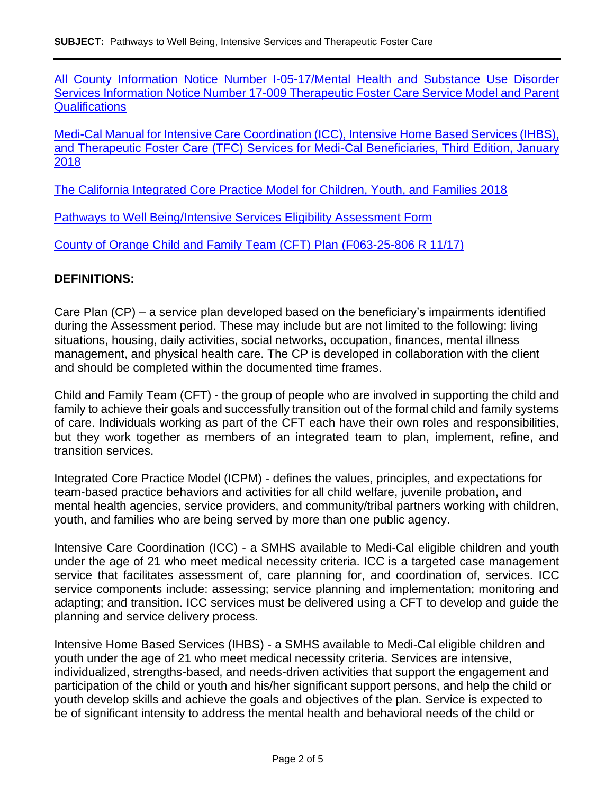[All County Information Notice Number I-05-17/Mental Health and Substance Use Disorder](https://www.dhcs.ca.gov/services/MH/Documents/PPQA%20Pages/IN_17-009_Therapeutic_%20Foster_Care_%20(TFC)_Service_Model_and_Parent_Qualifications.pdf)  [Services Information Notice Number 17-009 Therapeutic Foster Care Service Model and Parent](https://www.dhcs.ca.gov/services/MH/Documents/PPQA%20Pages/IN_17-009_Therapeutic_%20Foster_Care_%20(TFC)_Service_Model_and_Parent_Qualifications.pdf)  **[Qualifications](https://www.dhcs.ca.gov/services/MH/Documents/PPQA%20Pages/IN_17-009_Therapeutic_%20Foster_Care_%20(TFC)_Service_Model_and_Parent_Qualifications.pdf)** 

Medi-Cal Manual [for Intensive Care Coordination \(ICC\), Intensive Home Based Services \(IHBS\),](https://www.dhcs.ca.gov/Documents/ChildrensMHContentFlaggedForRemoval/Manuals/Medi-Cal_Manual_Third_Edition.pdf)  [and Therapeutic Foster Care \(TFC\) Services for Medi-Cal Beneficiaries, Third Edition, January](https://www.dhcs.ca.gov/Documents/ChildrensMHContentFlaggedForRemoval/Manuals/Medi-Cal_Manual_Third_Edition.pdf)  [2018](https://www.dhcs.ca.gov/Documents/ChildrensMHContentFlaggedForRemoval/Manuals/Medi-Cal_Manual_Third_Edition.pdf)

[The California Integrated Core Practice Model for Children, Youth, and Families 2018](http://www.cdss.ca.gov/Portals/9/CCR/FINAL%20Integrated%20Core%20Practice%20Model.pdf?ver=2018-05-22-085704-833)

[Pathways to Well Being/Intensive Services Eligibility Assessment Form](http://www.ochealthinfo.com/civicax/filebank/blobdload.aspx?BlobID=78307)

[County of Orange Child and Family Team \(CFT\)](http://www.ochealthinfo.com/civicax/filebank/blobdload.aspx?BlobID=96655) Plan (F063-25-806 R 11/17)

#### **DEFINITIONS:**

Care Plan (CP) – a service plan developed based on the beneficiary's impairments identified during the Assessment period. These may include but are not limited to the following: living situations, housing, daily activities, social networks, occupation, finances, mental illness management, and physical health care. The CP is developed in collaboration with the client and should be completed within the documented time frames.

Child and Family Team (CFT) - the group of people who are involved in supporting the child and family to achieve their goals and successfully transition out of the formal child and family systems of care. Individuals working as part of the CFT each have their own roles and responsibilities, but they work together as members of an integrated team to plan, implement, refine, and transition services.

Integrated Core Practice Model (ICPM) - defines the values, principles, and expectations for team-based practice behaviors and activities for all child welfare, juvenile probation, and mental health agencies, service providers, and community/tribal partners working with children, youth, and families who are being served by more than one public agency.

Intensive Care Coordination (ICC) - a SMHS available to Medi-Cal eligible children and youth under the age of 21 who meet medical necessity criteria. ICC is a targeted case management service that facilitates assessment of, care planning for, and coordination of, services. ICC service components include: assessing; service planning and implementation; monitoring and adapting; and transition. ICC services must be delivered using a CFT to develop and guide the planning and service delivery process.

Intensive Home Based Services (IHBS) - a SMHS available to Medi-Cal eligible children and youth under the age of 21 who meet medical necessity criteria. Services are intensive, individualized, strengths-based, and needs-driven activities that support the engagement and participation of the child or youth and his/her significant support persons, and help the child or youth develop skills and achieve the goals and objectives of the plan. Service is expected to be of significant intensity to address the mental health and behavioral needs of the child or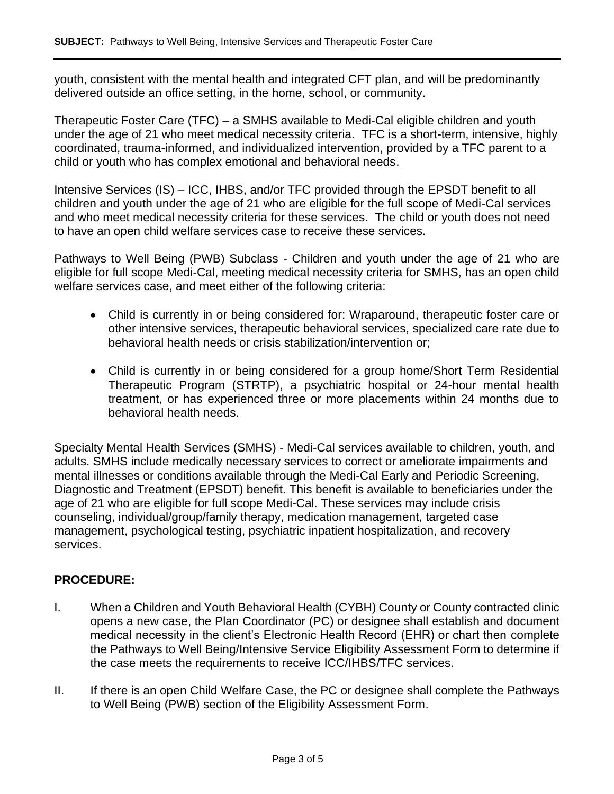youth, consistent with the mental health and integrated CFT plan, and will be predominantly delivered outside an office setting, in the home, school, or community.

Therapeutic Foster Care (TFC) – a SMHS available to Medi-Cal eligible children and youth under the age of 21 who meet medical necessity criteria. TFC is a short-term, intensive, highly coordinated, trauma-informed, and individualized intervention, provided by a TFC parent to a child or youth who has complex emotional and behavioral needs.

Intensive Services (IS) – ICC, IHBS, and/or TFC provided through the EPSDT benefit to all children and youth under the age of 21 who are eligible for the full scope of Medi-Cal services and who meet medical necessity criteria for these services. The child or youth does not need to have an open child welfare services case to receive these services.

Pathways to Well Being (PWB) Subclass - Children and youth under the age of 21 who are eligible for full scope Medi-Cal, meeting medical necessity criteria for SMHS, has an open child welfare services case, and meet either of the following criteria:

- Child is currently in or being considered for: Wraparound, therapeutic foster care or other intensive services, therapeutic behavioral services, specialized care rate due to behavioral health needs or crisis stabilization/intervention or;
- Child is currently in or being considered for a group home/Short Term Residential Therapeutic Program (STRTP), a psychiatric hospital or 24-hour mental health treatment, or has experienced three or more placements within 24 months due to behavioral health needs.

Specialty Mental Health Services (SMHS) - Medi-Cal services available to children, youth, and adults. SMHS include medically necessary services to correct or ameliorate impairments and mental illnesses or conditions available through the Medi-Cal Early and Periodic Screening, Diagnostic and Treatment (EPSDT) benefit. This benefit is available to beneficiaries under the age of 21 who are eligible for full scope Medi-Cal. These services may include crisis counseling, individual/group/family therapy, medication management, targeted case management, psychological testing, psychiatric inpatient hospitalization, and recovery services.

### **PROCEDURE:**

- I. When a Children and Youth Behavioral Health (CYBH) County or County contracted clinic opens a new case, the Plan Coordinator (PC) or designee shall establish and document medical necessity in the client's Electronic Health Record (EHR) or chart then complete the Pathways to Well Being/Intensive Service Eligibility Assessment Form to determine if the case meets the requirements to receive ICC/IHBS/TFC services.
- II. If there is an open Child Welfare Case, the PC or designee shall complete the Pathways to Well Being (PWB) section of the Eligibility Assessment Form.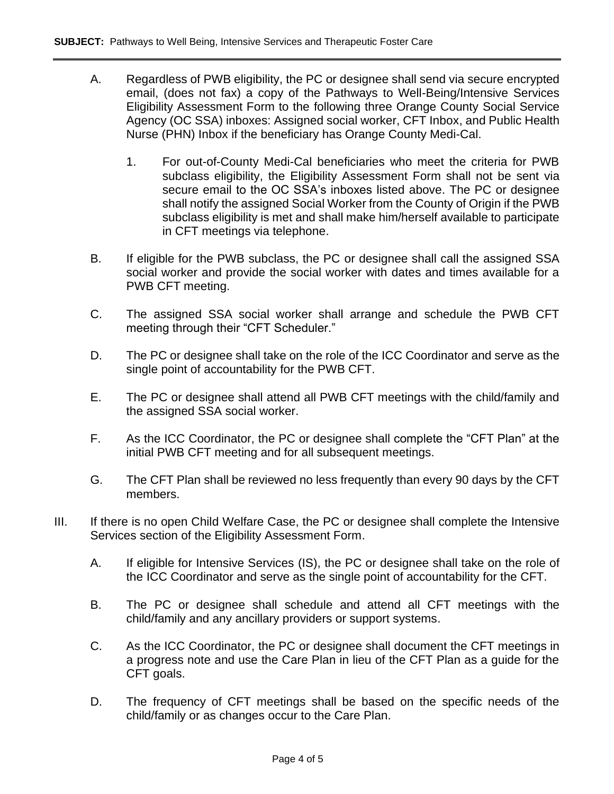- A. Regardless of PWB eligibility, the PC or designee shall send via secure encrypted email, (does not fax) a copy of the Pathways to Well-Being/Intensive Services Eligibility Assessment Form to the following three Orange County Social Service Agency (OC SSA) inboxes: Assigned social worker, CFT Inbox, and Public Health Nurse (PHN) Inbox if the beneficiary has Orange County Medi-Cal.
	- 1. For out-of-County Medi-Cal beneficiaries who meet the criteria for PWB subclass eligibility, the Eligibility Assessment Form shall not be sent via secure email to the OC SSA's inboxes listed above. The PC or designee shall notify the assigned Social Worker from the County of Origin if the PWB subclass eligibility is met and shall make him/herself available to participate in CFT meetings via telephone.
- B. If eligible for the PWB subclass, the PC or designee shall call the assigned SSA social worker and provide the social worker with dates and times available for a PWB CFT meeting.
- C. The assigned SSA social worker shall arrange and schedule the PWB CFT meeting through their "CFT Scheduler."
- D. The PC or designee shall take on the role of the ICC Coordinator and serve as the single point of accountability for the PWB CFT.
- E. The PC or designee shall attend all PWB CFT meetings with the child/family and the assigned SSA social worker.
- F. As the ICC Coordinator, the PC or designee shall complete the "CFT Plan" at the initial PWB CFT meeting and for all subsequent meetings.
- G. The CFT Plan shall be reviewed no less frequently than every 90 days by the CFT members.
- III. If there is no open Child Welfare Case, the PC or designee shall complete the Intensive Services section of the Eligibility Assessment Form.
	- A. If eligible for Intensive Services (IS), the PC or designee shall take on the role of the ICC Coordinator and serve as the single point of accountability for the CFT.
	- B. The PC or designee shall schedule and attend all CFT meetings with the child/family and any ancillary providers or support systems.
	- C. As the ICC Coordinator, the PC or designee shall document the CFT meetings in a progress note and use the Care Plan in lieu of the CFT Plan as a guide for the CFT goals.
	- D. The frequency of CFT meetings shall be based on the specific needs of the child/family or as changes occur to the Care Plan.